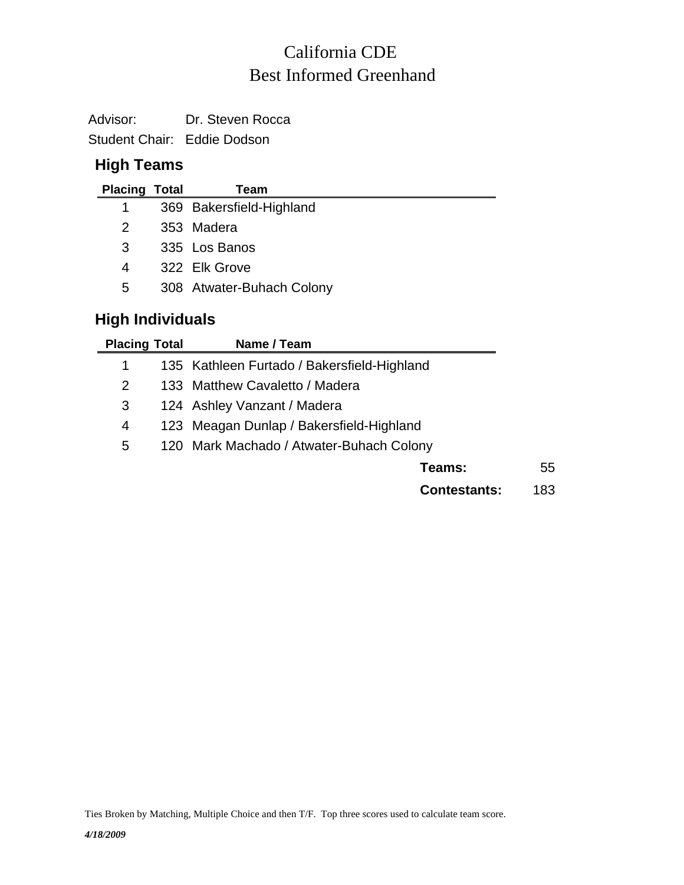## Best Informed Greenhand California CDE

Advisor: Dr. Steven Rocca

Student Chair: Eddie Dodson

## **High Teams**

| <b>Placing Total</b> | Team                      |
|----------------------|---------------------------|
| $\mathbf 1$          | 369 Bakersfield-Highland  |
| 2                    | 353 Madera                |
| 3                    | 335 Los Banos             |
| 4                    | 322 Elk Grove             |
| 5                    | 308 Atwater-Buhach Colony |
|                      |                           |

## **High Individuals**

 $\overline{\phantom{0}}$ 

| <b>Placing Total</b> | Name / Team                                 |     |  |  |
|----------------------|---------------------------------------------|-----|--|--|
| 1                    | 135 Kathleen Furtado / Bakersfield-Highland |     |  |  |
| 2                    | 133 Matthew Cavaletto / Madera              |     |  |  |
| 3                    | 124 Ashley Vanzant / Madera                 |     |  |  |
| 4                    | 123 Meagan Dunlap / Bakersfield-Highland    |     |  |  |
| 5                    | 120 Mark Machado / Atwater-Buhach Colony    |     |  |  |
|                      | Teams:                                      | 55  |  |  |
|                      | <b>Contestants:</b>                         | 183 |  |  |

Ties Broken by Matching, Multiple Choice and then T/F. Top three scores used to calculate team score.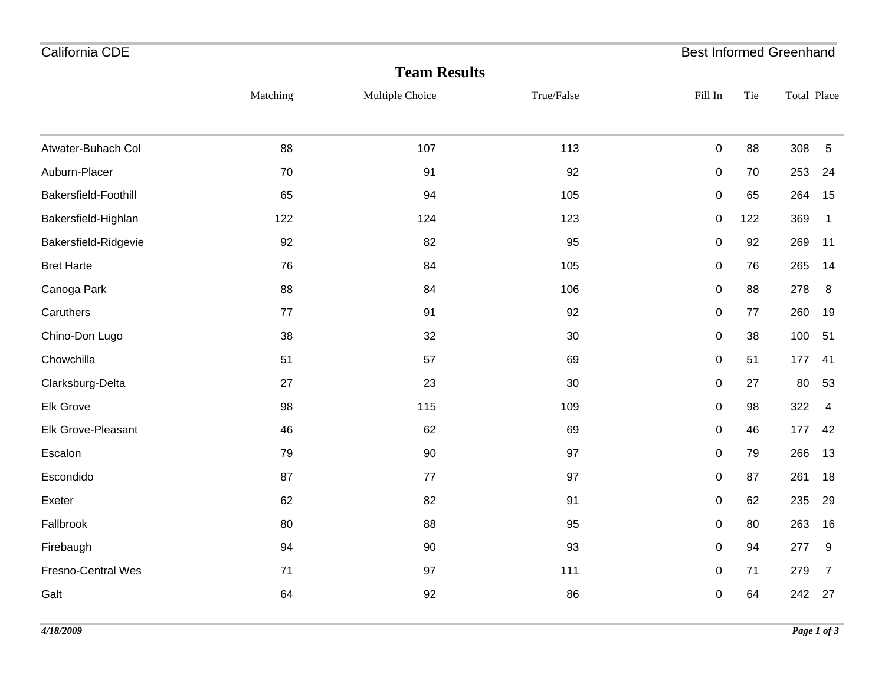| California CDE                            |           |     | <b>Best Informed Greenhand</b> |                |
|-------------------------------------------|-----------|-----|--------------------------------|----------------|
| <b>Team Results</b>                       |           |     |                                |                |
| True/False<br>Matching<br>Multiple Choice | Fill In   | Tie | Total Place                    |                |
| 88<br>107<br>113<br>Atwater-Buhach Col    | $\pmb{0}$ | 88  | 308                            | 5              |
| Auburn-Placer<br>92<br>70<br>91           | 0         | 70  | 253                            | 24             |
| Bakersfield-Foothill<br>65<br>94<br>105   | 0         | 65  | 264                            | 15             |
| Bakersfield-Highlan<br>122<br>124<br>123  | $\pmb{0}$ | 122 | 369                            | $\mathbf{1}$   |
| 82<br>Bakersfield-Ridgevie<br>92<br>95    | $\pmb{0}$ | 92  | 269                            | 11             |
| <b>Bret Harte</b><br>84<br>76<br>105      | 0         | 76  | 265                            | 14             |
| Canoga Park<br>88<br>84<br>106            | $\pmb{0}$ | 88  | 278                            | 8              |
| Caruthers<br>91<br>92<br>77               | $\pmb{0}$ | 77  | 260                            | 19             |
| Chino-Don Lugo<br>32<br>$30\,$<br>38      | $\pmb{0}$ | 38  | 100                            | 51             |
| Chowchilla<br>57<br>51<br>69              | $\pmb{0}$ | 51  | 177                            | 41             |
| Clarksburg-Delta<br>30<br>27<br>23        | 0         | 27  | 80                             | 53             |
| Elk Grove<br>98<br>115<br>109             | 0         | 98  | 322                            | $\overline{4}$ |
| Elk Grove-Pleasant<br>62<br>69<br>46      | 0         | 46  | 177                            | 42             |
| Escalon<br>90<br>97<br>79                 | 0         | 79  | 266                            | 13             |
| Escondido<br>97<br>87<br>77               | $\pmb{0}$ | 87  | 261                            | 18             |
| 82<br>91<br>Exeter<br>62                  | $\pmb{0}$ | 62  | 235                            | 29             |
| Fallbrook<br>95<br>80<br>88               | $\pmb{0}$ | 80  | 263                            | 16             |
| Firebaugh<br>94<br>90<br>93               | $\pmb{0}$ | 94  | 277                            | 9              |
| Fresno-Central Wes<br>71<br>97<br>111     | 0         | 71  | 279                            | $\overline{7}$ |
| 92<br>86<br>Galt<br>64                    | $\pmb{0}$ | 64  | 242                            | 27             |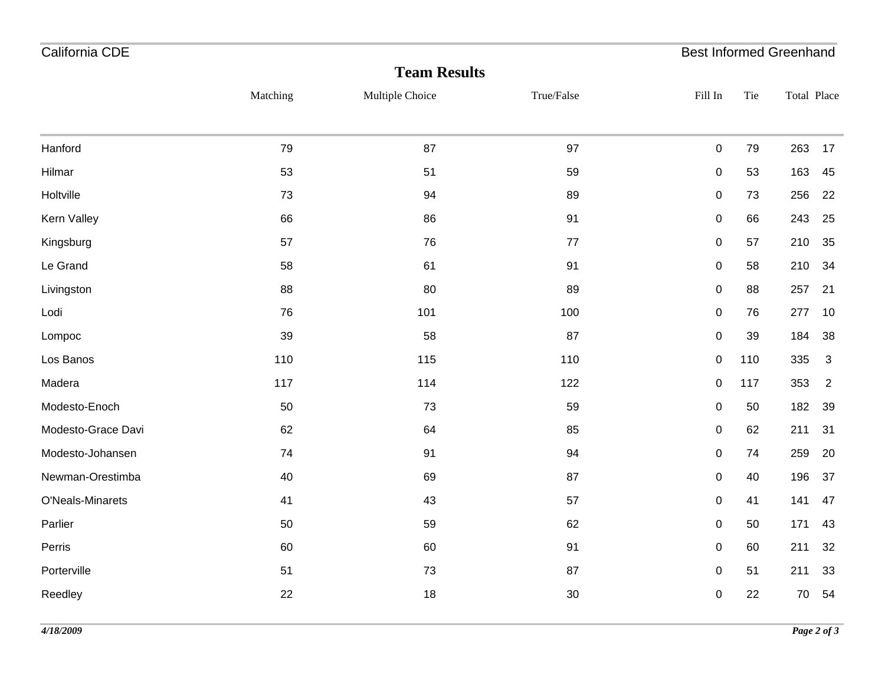| California CDE     |          |                     |            |             |     | <b>Best Informed Greenhand</b> |
|--------------------|----------|---------------------|------------|-------------|-----|--------------------------------|
|                    |          | <b>Team Results</b> |            |             |     |                                |
|                    | Matching | Multiple Choice     | True/False | Fill In     | Tie | Total Place                    |
|                    |          |                     |            |             |     |                                |
| Hanford            | 79       | 87                  | 97         | $\pmb{0}$   | 79  | 263<br>17                      |
| Hilmar             | 53       | 51                  | 59         | $\pmb{0}$   | 53  | 163<br>45                      |
| Holtville          | 73       | 94                  | 89         | $\pmb{0}$   | 73  | 256<br>22                      |
| Kern Valley        | 66       | 86                  | 91         | $\pmb{0}$   | 66  | 243<br>25                      |
| Kingsburg          | 57       | 76                  | $77\,$     | 0           | 57  | 210<br>35                      |
| Le Grand           | 58       | 61                  | 91         | $\pmb{0}$   | 58  | 210<br>34                      |
| Livingston         | 88       | 80                  | 89         | $\pmb{0}$   | 88  | 257<br>21                      |
| Lodi               | 76       | 101                 | 100        | $\pmb{0}$   | 76  | 277<br>10                      |
| Lompoc             | 39       | 58                  | 87         | $\pmb{0}$   | 39  | 184<br>38                      |
| Los Banos          | 110      | 115                 | 110        | $\pmb{0}$   | 110 | 335<br>3                       |
| Madera             | 117      | 114                 | 122        | $\pmb{0}$   | 117 | 353<br>2                       |
| Modesto-Enoch      | 50       | 73                  | 59         | $\pmb{0}$   | 50  | 182<br>39                      |
| Modesto-Grace Davi | 62       | 64                  | 85         | 0           | 62  | 211<br>31                      |
| Modesto-Johansen   | 74       | 91                  | 94         | 0           | 74  | 259<br>20                      |
| Newman-Orestimba   | 40       | 69                  | 87         | $\pmb{0}$   | 40  | 196<br>37                      |
| O'Neals-Minarets   | 41       | 43                  | 57         | $\mathbf 0$ | 41  | 141<br>47                      |
| Parlier            | 50       | 59                  | 62         | $\pmb{0}$   | 50  | 171<br>43                      |
| Perris             | 60       | 60                  | 91         | $\pmb{0}$   | 60  | 211<br>32                      |
| Porterville        | 51       | 73                  | 87         | 0           | 51  | 211<br>33                      |
| Reedley            | 22       | 18                  | $30\,$     | $\pmb{0}$   | 22  | 70<br>54                       |
|                    |          |                     |            |             |     |                                |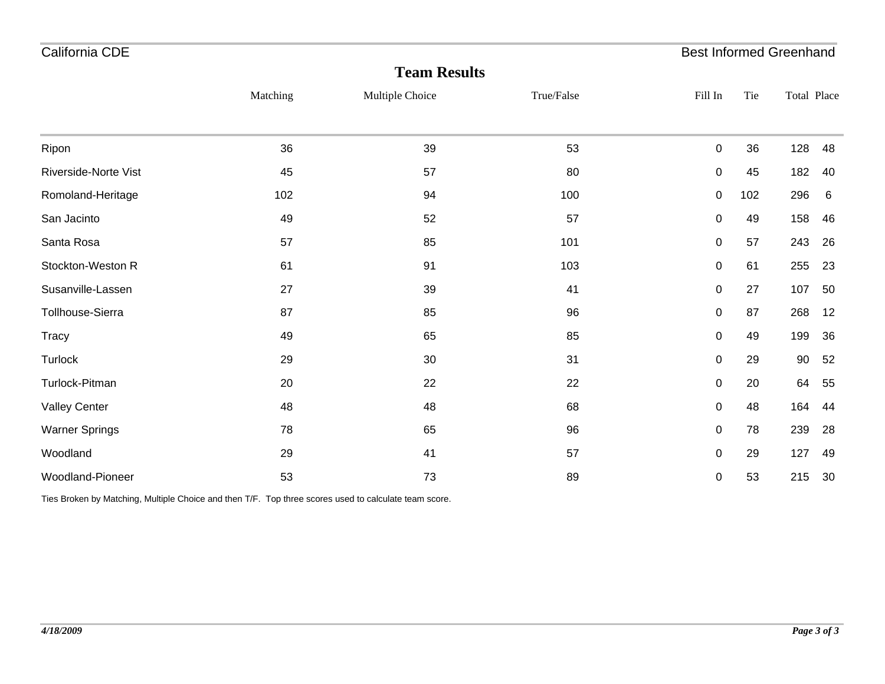| California CDE        |          |                     |            | <b>Best Informed Greenhand</b> |     |             |    |
|-----------------------|----------|---------------------|------------|--------------------------------|-----|-------------|----|
|                       |          | <b>Team Results</b> |            |                                |     |             |    |
|                       | Matching | Multiple Choice     | True/False | Fill In                        | Tie | Total Place |    |
|                       |          |                     |            |                                |     |             |    |
| Ripon                 | 36       | 39                  | 53         | 0                              | 36  | 128         | 48 |
| Riverside-Norte Vist  | 45       | 57                  | 80         | $\pmb{0}$                      | 45  | 182         | 40 |
| Romoland-Heritage     | 102      | 94                  | 100        | $\pmb{0}$                      | 102 | 296         | 6  |
| San Jacinto           | 49       | 52                  | 57         | 0                              | 49  | 158         | 46 |
| Santa Rosa            | 57       | 85                  | 101        | $\pmb{0}$                      | 57  | 243         | 26 |
| Stockton-Weston R     | 61       | 91                  | 103        | 0                              | 61  | 255         | 23 |
| Susanville-Lassen     | 27       | 39                  | 41         | 0                              | 27  | 107         | 50 |
| Tollhouse-Sierra      | 87       | 85                  | 96         | 0                              | 87  | 268         | 12 |
| <b>Tracy</b>          | 49       | 65                  | 85         | $\mathbf 0$                    | 49  | 199         | 36 |
| Turlock               | 29       | $30\,$              | 31         | 0                              | 29  | 90          | 52 |
| Turlock-Pitman        | 20       | 22                  | 22         | $\pmb{0}$                      | 20  | 64          | 55 |
| <b>Valley Center</b>  | 48       | 48                  | 68         | $\mathbf 0$                    | 48  | 164         | 44 |
| <b>Warner Springs</b> | 78       | 65                  | 96         | 0                              | 78  | 239         | 28 |
| Woodland              | 29       | 41                  | 57         | 0                              | 29  | 127         | 49 |
| Woodland-Pioneer      | 53       | 73                  | 89         | $\mathbf 0$                    | 53  | 215         | 30 |

Ties Broken by Matching, Multiple Choice and then T/F. Top three scores used to calculate team score.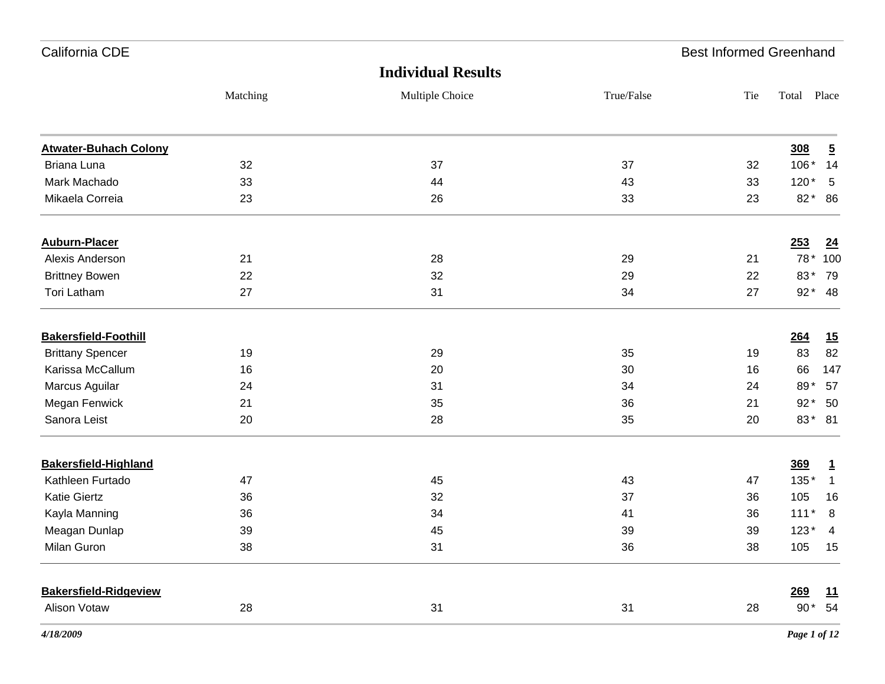| California CDE               |          |                           |            | <b>Best Informed Greenhand</b> |             |                |
|------------------------------|----------|---------------------------|------------|--------------------------------|-------------|----------------|
|                              |          | <b>Individual Results</b> |            |                                |             |                |
|                              | Matching | Multiple Choice           | True/False | Tie                            | Total Place |                |
| <b>Atwater-Buhach Colony</b> |          |                           |            |                                | 308         | $\overline{5}$ |
| Briana Luna                  | 32       | 37                        | 37         | 32                             | 106*        | 14             |
| Mark Machado                 | 33       | 44                        | 43         | 33                             | $120*$      | 5              |
| Mikaela Correia              | 23       | 26                        | 33         | 23                             | 82*         | 86             |
| <b>Auburn-Placer</b>         |          |                           |            |                                | 253         | 24             |
| Alexis Anderson              | 21       | 28                        | 29         | 21                             | 78 *        | 100            |
| <b>Brittney Bowen</b>        | 22       | 32                        | 29         | 22                             | 83*         | 79             |
| <b>Tori Latham</b>           | 27       | 31                        | 34         | 27                             | $92*$       | 48             |
| <b>Bakersfield-Foothill</b>  |          |                           |            |                                | 264         | 15             |
| <b>Brittany Spencer</b>      | 19       | 29                        | 35         | 19                             | 83          | 82             |
| Karissa McCallum             | 16       | 20                        | 30         | 16                             | 66          | 147            |
| Marcus Aguilar               | 24       | 31                        | 34         | 24                             | 89*         | 57             |
| Megan Fenwick                | 21       | 35                        | 36         | 21                             | $92*$       | 50             |
| Sanora Leist                 | 20       | 28                        | 35         | 20                             | 83*         | 81             |
| <b>Bakersfield-Highland</b>  |          |                           |            |                                | 369         | $\overline{1}$ |
| Kathleen Furtado             | 47       | 45                        | 43         | 47                             | 135*        | $\mathbf{1}$   |
| <b>Katie Giertz</b>          | 36       | 32                        | 37         | 36                             | 105         | 16             |
| Kayla Manning                | 36       | 34                        | 41         | 36                             | $111*$      | 8              |
| Meagan Dunlap                | 39       | 45                        | 39         | 39                             | $123*$      | 4              |
| Milan Guron                  | 38       | 31                        | 36         | 38                             | 105         | 15             |
| <b>Bakersfield-Ridgeview</b> |          |                           |            |                                | 269         | 11             |
| Alison Votaw                 | 28       | 31                        | 31         | 28                             |             | 90* 54         |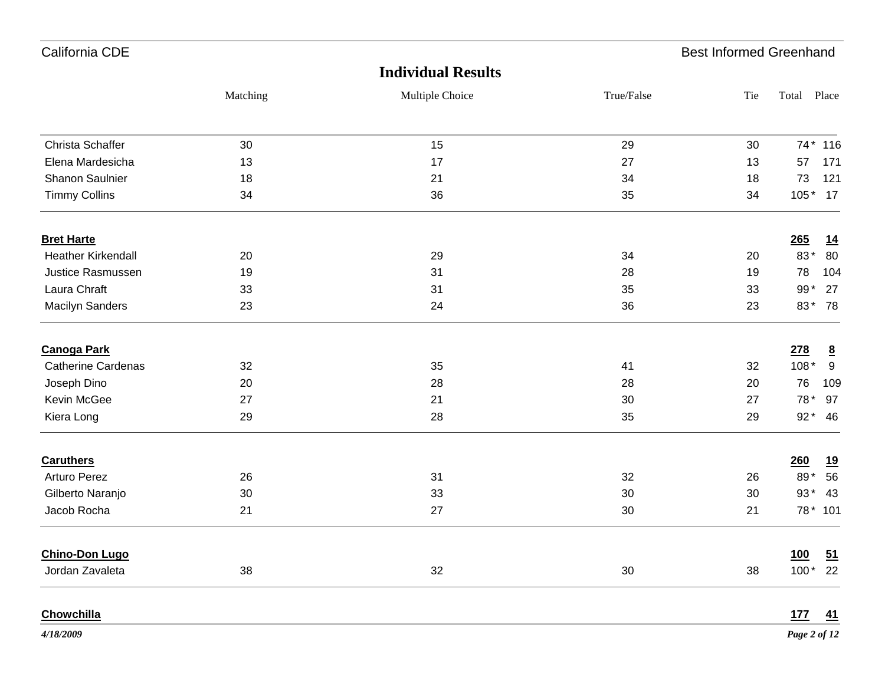| California CDE            |          |                           |            | <b>Best Informed Greenhand</b> |             |                           |
|---------------------------|----------|---------------------------|------------|--------------------------------|-------------|---------------------------|
|                           |          | <b>Individual Results</b> |            |                                |             |                           |
|                           | Matching | Multiple Choice           | True/False | Tie                            | Total Place |                           |
| Christa Schaffer          | 30       | 15                        | 29         | 30                             | $74*$       | 116                       |
| Elena Mardesicha          | 13       | 17                        | 27         | 13                             | 57          | 171                       |
| Shanon Saulnier           | 18       | 21                        | 34         | 18                             | 73          | 121                       |
| <b>Timmy Collins</b>      | 34       | 36                        | 35         | 34                             | $105*$      | 17                        |
| <b>Bret Harte</b>         |          |                           |            |                                | 265         | <u>14</u>                 |
| <b>Heather Kirkendall</b> | 20       | 29                        | 34         | 20                             | 83*         | 80                        |
| Justice Rasmussen         | 19       | 31                        | 28         | 19                             | 78          | 104                       |
| Laura Chraft              | 33       | 31                        | 35         | 33                             | $99*$       | 27                        |
| <b>Macilyn Sanders</b>    | 23       | 24                        | 36         | 23                             | 83*         | 78                        |
| <b>Canoga Park</b>        |          |                           |            |                                | 278         | $\underline{8}$           |
| <b>Catherine Cardenas</b> | 32       | 35                        | 41         | 32                             | $108*$      | 9                         |
| Joseph Dino               | 20       | 28                        | 28         | 20                             | 76          | 109                       |
| Kevin McGee               | 27       | 21                        | 30         | 27                             | 78*         | 97                        |
| Kiera Long                | 29       | 28                        | 35         | 29                             | $92*$       | 46                        |
| <b>Caruthers</b>          |          |                           |            |                                | 260         | <u> 19</u>                |
| <b>Arturo Perez</b>       | 26       | 31                        | 32         | 26                             | 89*         | 56                        |
| Gilberto Naranjo          | 30       | 33                        | 30         | 30                             | $93*$       | 43                        |
| Jacob Rocha               | 21       | 27                        | 30         | 21                             | 78*         | 101                       |
| <b>Chino-Don Lugo</b>     |          |                           |            |                                | 100         | $\underline{\mathbf{51}}$ |
| Jordan Zavaleta           | 38       | 32                        | $30\,$     | 38                             | $100*$      | 22                        |
| Chowchilla                |          |                           |            |                                | <u>177</u>  | $\overline{41}$           |

*4/18/2009*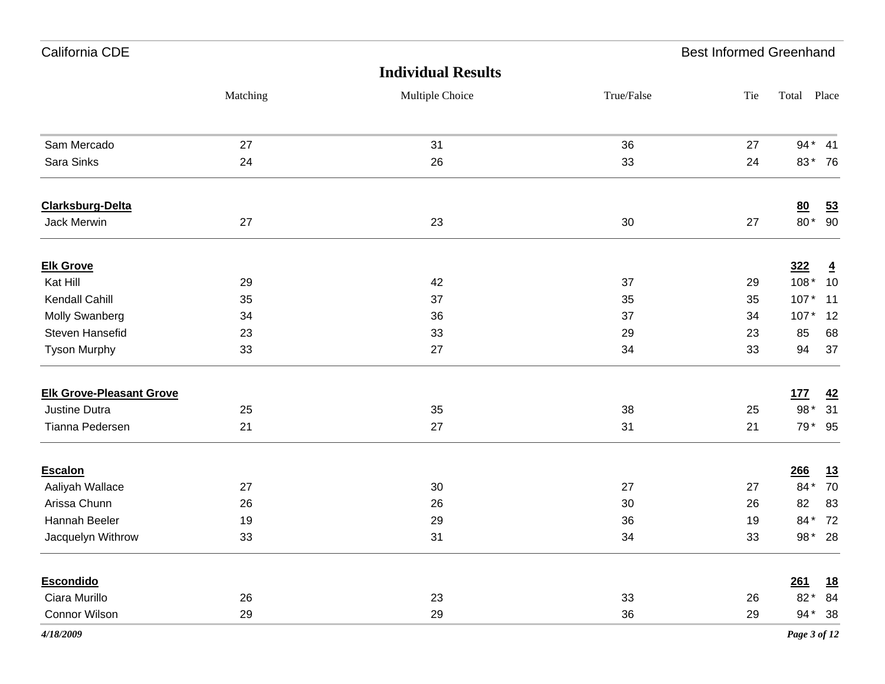| California CDE                  |          |                           |            | <b>Best Informed Greenhand</b> |              |                |
|---------------------------------|----------|---------------------------|------------|--------------------------------|--------------|----------------|
|                                 |          | <b>Individual Results</b> |            |                                |              |                |
|                                 | Matching | Multiple Choice           | True/False | Tie                            | Total Place  |                |
| Sam Mercado                     | 27       | 31                        | 36         | 27                             | $94*$        | 41             |
| Sara Sinks                      | 24       | 26                        | 33         | 24                             | 83*          | 76             |
| <b>Clarksburg-Delta</b>         |          |                           |            |                                | 80           | 53             |
| Jack Merwin                     | 27       | 23                        | 30         | 27                             | $80*$        | 90             |
| <b>Elk Grove</b>                |          |                           |            |                                | <u>322</u>   | $\overline{4}$ |
| Kat Hill                        | 29       | 42                        | 37         | 29                             | $108*$       | 10             |
| Kendall Cahill                  | 35       | 37                        | 35         | 35                             | $107*$       | 11             |
| Molly Swanberg                  | 34       | 36                        | 37         | 34                             | $107*$       | 12             |
| Steven Hansefid                 | 23       | 33                        | 29         | 23                             | 85           | 68             |
| <b>Tyson Murphy</b>             | 33       | 27                        | 34         | 33                             | 94           | 37             |
| <b>Elk Grove-Pleasant Grove</b> |          |                           |            |                                | 177          | 42             |
| Justine Dutra                   | 25       | 35                        | 38         | 25                             | $98*$        | 31             |
| Tianna Pedersen                 | 21       | 27                        | 31         | 21                             | 79*          | 95             |
| <b>Escalon</b>                  |          |                           |            |                                | 266          | <u>13</u>      |
| Aaliyah Wallace                 | 27       | 30                        | 27         | 27                             | 84*          | 70             |
| Arissa Chunn                    | 26       | 26                        | 30         | 26                             | 82           | 83             |
| Hannah Beeler                   | 19       | 29                        | 36         | 19                             | 84*          | 72             |
| Jacquelyn Withrow               | 33       | 31                        | 34         | 33                             | 98 $*$       | 28             |
| <b>Escondido</b>                |          |                           |            |                                | <u>261</u>   | <u>18</u>      |
| Ciara Murillo                   | 26       | 23                        | 33         | 26                             |              | 82* 84         |
| Connor Wilson                   | 29       | 29                        | 36         | 29                             |              | 94* 38         |
| 4/18/2009                       |          |                           |            |                                | Page 3 of 12 |                |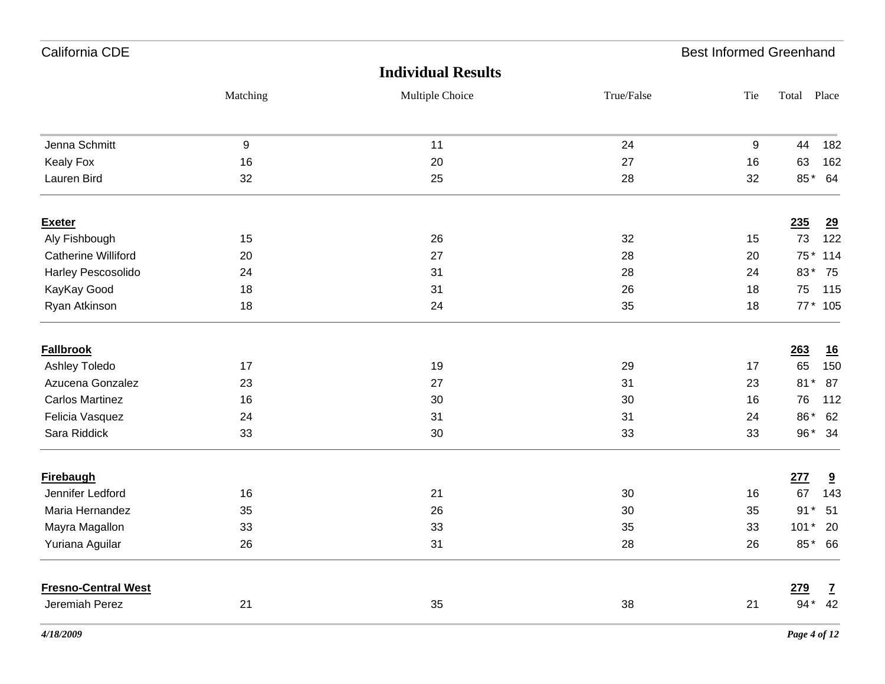| California CDE             |          |                           |            | <b>Best Informed Greenhand</b> |             |              |
|----------------------------|----------|---------------------------|------------|--------------------------------|-------------|--------------|
|                            |          | <b>Individual Results</b> |            |                                |             |              |
|                            | Matching | Multiple Choice           | True/False | Tie                            | Total Place |              |
| Jenna Schmitt              | 9        | 11                        | 24         | 9                              | 44          | 182          |
| <b>Kealy Fox</b>           | 16       | 20                        | 27         | 16                             | 63          | 162          |
| Lauren Bird                | 32       | 25                        | 28         | 32                             | 85*         | 64           |
| <b>Exeter</b>              |          |                           |            |                                | 235         | 29           |
| Aly Fishbough              | 15       | 26                        | 32         | 15                             | 73          | 122          |
| <b>Catherine Williford</b> | 20       | 27                        | 28         | 20                             | 75 *        | 114          |
| Harley Pescosolido         | 24       | 31                        | 28         | 24                             | 83*         | 75           |
| KayKay Good                | 18       | 31                        | 26         | 18                             | 75          | 115          |
| Ryan Atkinson              | 18       | 24                        | 35         | 18                             |             | 77 * 105     |
| <b>Fallbrook</b>           |          |                           |            |                                | 263         | <u>16</u>    |
| Ashley Toledo              | 17       | 19                        | 29         | 17                             | 65          | 150          |
| Azucena Gonzalez           | 23       | 27                        | 31         | 23                             | $81*$       | 87           |
| <b>Carlos Martinez</b>     | 16       | 30                        | 30         | 16                             | 76          | 112          |
| Felicia Vasquez            | 24       | 31                        | 31         | 24                             | 86*         | 62           |
| Sara Riddick               | 33       | 30                        | 33         | 33                             | 96*         | 34           |
| <b>Firebaugh</b>           |          |                           |            |                                | 277         | 9            |
| Jennifer Ledford           | 16       | 21                        | 30         | 16                             | 67          | 143          |
| Maria Hernandez            | 35       | 26                        | 30         | 35                             | $91*$       | 51           |
| Mayra Magallon             | 33       | 33                        | 35         | 33                             | $101*$      | 20           |
| Yuriana Aguilar            | 26       | 31                        | 28         | 26                             |             | 85* 66       |
| <b>Fresno-Central West</b> |          |                           |            |                                | 279         | $\mathbf{Z}$ |
| Jeremiah Perez             | 21       | 35                        | 38         | 21                             | $94*$       | 42           |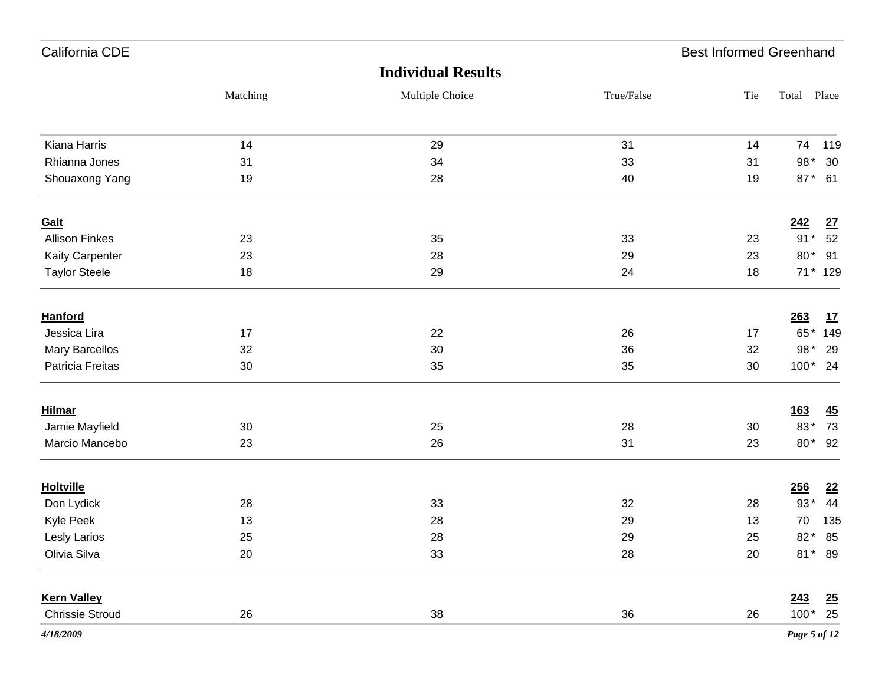| California CDE         |          |                           |            | <b>Best Informed Greenhand</b> |              |     |
|------------------------|----------|---------------------------|------------|--------------------------------|--------------|-----|
|                        |          | <b>Individual Results</b> |            |                                |              |     |
|                        | Matching | Multiple Choice           | True/False | Tie                            | Total Place  |     |
| Kiana Harris           | 14       | 29                        | 31         | 14                             | 74           | 119 |
| Rhianna Jones          | 31       | 34                        | 33         | 31                             | 98*          | 30  |
| Shouaxong Yang         | 19       | 28                        | 40         | 19                             | 87* 61       |     |
| <b>Galt</b>            |          |                           |            |                                | 242          | 27  |
| <b>Allison Finkes</b>  | 23       | 35                        | 33         | 23                             | $91*$        | 52  |
| Kaity Carpenter        | 23       | 28                        | 29         | 23                             | 80* 91       |     |
| <b>Taylor Steele</b>   | 18       | 29                        | 24         | 18                             | 71 * 129     |     |
| <b>Hanford</b>         |          |                           |            |                                | 263          | 17  |
| Jessica Lira           | 17       | 22                        | 26         | 17                             | 65*          | 149 |
| <b>Mary Barcellos</b>  | 32       | 30                        | 36         | 32                             | 98* 29       |     |
| Patricia Freitas       | 30       | 35                        | 35         | 30                             | $100*24$     |     |
| <b>Hilmar</b>          |          |                           |            |                                | <u>163</u>   | 45  |
| Jamie Mayfield         | 30       | 25                        | 28         | 30                             | 83*          | 73  |
| Marcio Mancebo         | 23       | 26                        | 31         | 23                             | 80* 92       |     |
| <b>Holtville</b>       |          |                           |            |                                | 256          | 22  |
| Don Lydick             | 28       | 33                        | 32         | 28                             | $93*$        | 44  |
| Kyle Peek              | 13       | 28                        | 29         | 13                             | 70           | 135 |
| Lesly Larios           | 25       | ${\bf 28}$                | 29         | 25                             | 82* 85       |     |
| Olivia Silva           | 20       | 33                        | 28         | 20                             | 81* 89       |     |
| <b>Kern Valley</b>     |          |                           |            |                                | 243          | 25  |
| <b>Chrissie Stroud</b> | 26       | 38                        | $36\,$     | 26                             | $100*$ 25    |     |
| 4/18/2009              |          |                           |            |                                | Page 5 of 12 |     |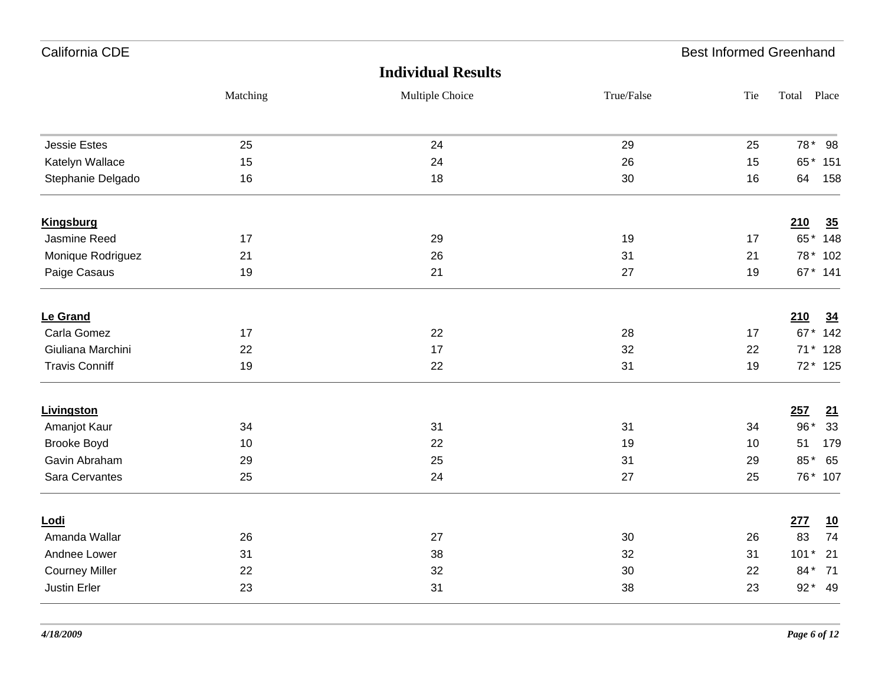| California CDE        |          |                           |            | <b>Best Informed Greenhand</b> |                  |
|-----------------------|----------|---------------------------|------------|--------------------------------|------------------|
|                       |          | <b>Individual Results</b> |            |                                |                  |
|                       | Matching | Multiple Choice           | True/False | Tie                            | Total Place      |
| <b>Jessie Estes</b>   | 25       | 24                        | 29         | 25                             | 78* 98           |
| Katelyn Wallace       | 15       | 24                        | 26         | 15                             | 65* 151          |
| Stephanie Delgado     | 16       | 18                        | 30         | 16                             | 64<br>158        |
| <b>Kingsburg</b>      |          |                           |            |                                | 35<br>210        |
| Jasmine Reed          | 17       | 29                        | 19         | 17                             | 65* 148          |
| Monique Rodriguez     | 21       | 26                        | 31         | 21                             | 78 * 102         |
| Paige Casaus          | 19       | 21                        | 27         | 19                             | 67* 141          |
| Le Grand              |          |                           |            |                                | 210<br>34        |
| Carla Gomez           | 17       | 22                        | 28         | 17                             | 67* 142          |
| Giuliana Marchini     | 22       | 17                        | 32         | 22                             | 71 * 128         |
| <b>Travis Conniff</b> | 19       | 22                        | 31         | 19                             | 72* 125          |
| Livingston            |          |                           |            |                                | 257<br>21        |
| Amanjot Kaur          | 34       | 31                        | 31         | 34                             | $96*$<br>33      |
| Brooke Boyd           | 10       | 22                        | 19         | 10                             | 51<br>179        |
| Gavin Abraham         | 29       | 25                        | 31         | 29                             | 85*<br>65        |
| Sara Cervantes        | 25       | 24                        | 27         | 25                             | 76* 107          |
| Lodi                  |          |                           |            |                                | 277<br><u>10</u> |
| Amanda Wallar         | 26       | 27                        | 30         | 26                             | 74<br>83         |
| Andnee Lower          | 31       | 38                        | 32         | 31                             | $101*$<br>21     |
| <b>Courney Miller</b> | 22       | 32                        | 30         | 22                             | 84*<br>71        |
| Justin Erler          | 23       | 31                        | 38         | 23                             | 92* 49           |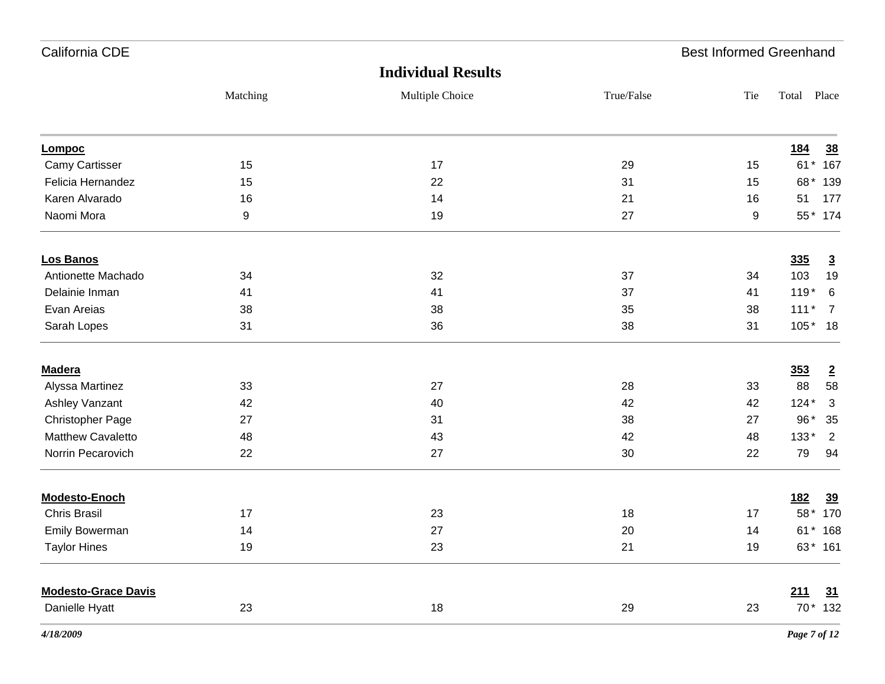| California CDE             |          |                           |            | <b>Best Informed Greenhand</b> |             |                |
|----------------------------|----------|---------------------------|------------|--------------------------------|-------------|----------------|
|                            |          | <b>Individual Results</b> |            |                                |             |                |
|                            | Matching | Multiple Choice           | True/False | Tie                            | Total Place |                |
| Lompoc                     |          |                           |            |                                | <u>184</u>  | 38             |
| Camy Cartisser             | 15       | 17                        | 29         | 15                             | $61*$       | 167            |
| Felicia Hernandez          | 15       | 22                        | 31         | 15                             | 68*         | 139            |
| Karen Alvarado             | 16       | 14                        | 21         | 16                             | 51          | 177            |
| Naomi Mora                 | 9        | 19                        | 27         | 9                              | 55*         | 174            |
| Los Banos                  |          |                           |            |                                | 335         | $\overline{3}$ |
| Antionette Machado         | 34       | 32                        | 37         | 34                             | 103         | 19             |
| Delainie Inman             | 41       | 41                        | 37         | 41                             | $119*$      | 6              |
| Evan Areias                | 38       | 38                        | 35         | 38                             | $111*$      | $\overline{7}$ |
| Sarah Lopes                | 31       | 36                        | 38         | 31                             | $105*$      | 18             |
| <b>Madera</b>              |          |                           |            |                                | 353         | $\overline{2}$ |
| Alyssa Martinez            | 33       | 27                        | 28         | 33                             | 88          | 58             |
| Ashley Vanzant             | 42       | 40                        | 42         | 42                             | $124*$      | 3              |
| Christopher Page           | 27       | 31                        | 38         | 27                             | $96*$       | 35             |
| <b>Matthew Cavaletto</b>   | 48       | 43                        | 42         | 48                             | 133*        | $\overline{2}$ |
| Norrin Pecarovich          | 22       | 27                        | 30         | 22                             | 79          | 94             |
| <b>Modesto-Enoch</b>       |          |                           |            |                                | <u>182</u>  | 39             |
| <b>Chris Brasil</b>        | 17       | 23                        | 18         | 17                             | 58 *        | 170            |
| Emily Bowerman             | 14       | 27                        | 20         | 14                             | $61*$       | 168            |
| <b>Taylor Hines</b>        | 19       | 23                        | 21         | 19                             |             | 63* 161        |
| <b>Modesto-Grace Davis</b> |          |                           |            |                                | 211         | 31             |
| Danielle Hyatt             | 23       | $18$                      | 29         | 23                             |             | 70 * 132       |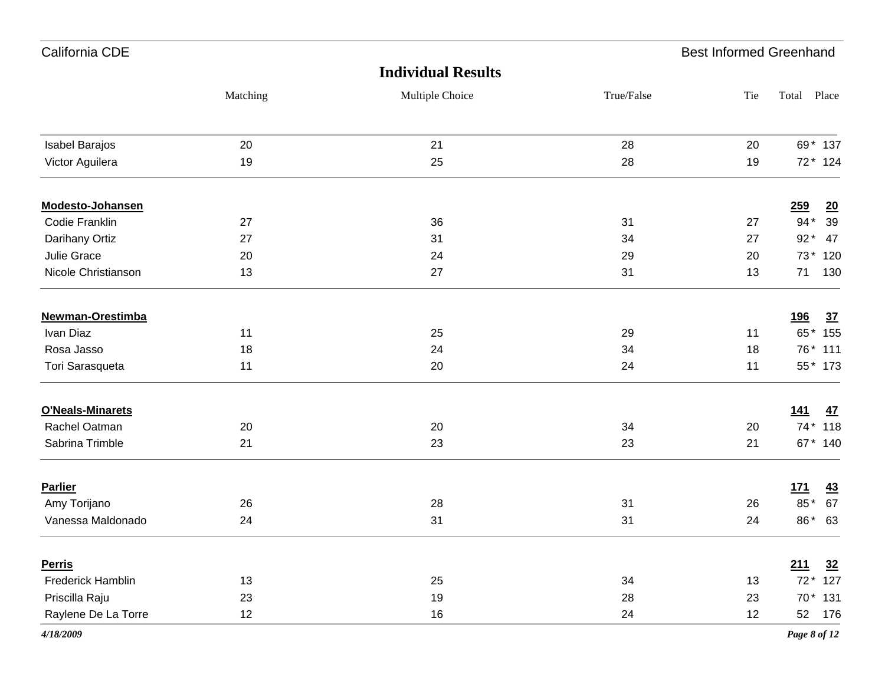| California CDE          |          |                           |            | <b>Best Informed Greenhand</b> |              |                  |
|-------------------------|----------|---------------------------|------------|--------------------------------|--------------|------------------|
|                         |          | <b>Individual Results</b> |            |                                |              |                  |
|                         | Matching | Multiple Choice           | True/False | Tie                            | Total Place  |                  |
| Isabel Barajos          | 20       | 21                        | 28         | 20                             | 69* 137      |                  |
| Victor Aguilera         | 19       | 25                        | 28         | 19                             | $72*$        | 124              |
| Modesto-Johansen        |          |                           |            |                                | 259          | $\underline{20}$ |
| <b>Codie Franklin</b>   | 27       | 36                        | 31         | 27                             | $94*$        | 39               |
| Darihany Ortiz          | 27       | 31                        | 34         | 27                             | $92*$        | 47               |
| Julie Grace             | 20       | 24                        | 29         | 20                             | $73*$        | 120              |
| Nicole Christianson     | 13       | 27                        | 31         | 13                             | 71           | 130              |
| Newman-Orestimba        |          |                           |            |                                | <u>196</u>   | 37               |
| Ivan Diaz               | 11       | 25                        | 29         | 11                             | 65* 155      |                  |
| Rosa Jasso              | 18       | 24                        | 34         | 18                             | 76* 111      |                  |
| Tori Sarasqueta         | 11       | 20                        | 24         | 11                             | 55* 173      |                  |
| <b>O'Neals-Minarets</b> |          |                           |            |                                | 141          | <u>47</u>        |
| Rachel Oatman           | 20       | 20                        | 34         | 20                             | 74* 118      |                  |
| Sabrina Trimble         | 21       | 23                        | 23         | 21                             | 67* 140      |                  |
| <b>Parlier</b>          |          |                           |            |                                | 171          | $\underline{43}$ |
| Amy Torijano            | 26       | 28                        | 31         | 26                             | 85*          | 67               |
| Vanessa Maldonado       | 24       | 31                        | 31         | 24                             | 86*          | 63               |
| <b>Perris</b>           |          |                           |            |                                | 211          | 32               |
| Frederick Hamblin       | 13       | 25                        | 34         | 13                             | 72 * 127     |                  |
| Priscilla Raju          | 23       | 19                        | 28         | 23                             | 70 * 131     |                  |
| Raylene De La Torre     | 12       | 16                        | 24         | 12                             | 52 176       |                  |
| 4/18/2009               |          |                           |            |                                | Page 8 of 12 |                  |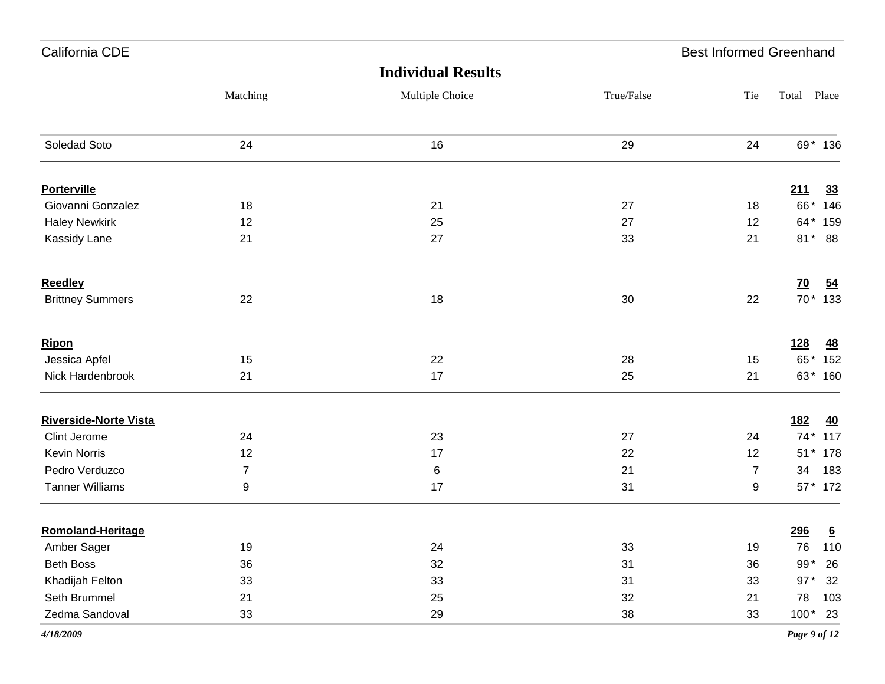| California CDE               |                  |                           |            | <b>Best Informed Greenhand</b> |            |                  |
|------------------------------|------------------|---------------------------|------------|--------------------------------|------------|------------------|
|                              |                  | <b>Individual Results</b> |            |                                |            |                  |
|                              | Matching         | Multiple Choice           | True/False | Tie                            | Total      | Place            |
| Soledad Soto                 | 24               | 16                        | 29         | 24                             |            | 69* 136          |
| <b>Porterville</b>           |                  |                           |            |                                | 211        | 33               |
| Giovanni Gonzalez            | 18               | 21                        | 27         | 18                             |            | 66* 146          |
| <b>Haley Newkirk</b>         | 12               | 25                        | 27         | 12                             |            | 64 * 159         |
| Kassidy Lane                 | 21               | 27                        | 33         | 21                             |            | 81* 88           |
| <b>Reedley</b>               |                  |                           |            |                                | <u>70</u>  | $\underline{54}$ |
| <b>Brittney Summers</b>      | 22               | 18                        | $30\,$     | 22                             |            | 70* 133          |
| Ripon                        |                  |                           |            |                                | <u>128</u> | <u>48</u>        |
| Jessica Apfel                | 15               | 22                        | 28         | 15                             |            | 65* 152          |
| Nick Hardenbrook             | 21               | 17                        | 25         | 21                             |            | 63* 160          |
| <b>Riverside-Norte Vista</b> |                  |                           |            |                                | <u>182</u> | <u>40</u>        |
| Clint Jerome                 | 24               | 23                        | 27         | 24                             |            | 74* 117          |
| Kevin Norris                 | 12               | 17                        | 22         | 12                             |            | 51 * 178         |
| Pedro Verduzco               | $\overline{7}$   | $\,6$                     | 21         | $\overline{7}$                 | 34         | 183              |
| <b>Tanner Williams</b>       | $\boldsymbol{9}$ | 17                        | 31         | 9                              |            | 57 * 172         |
| <b>Romoland-Heritage</b>     |                  |                           |            |                                | 296        | $6\overline{6}$  |
| Amber Sager                  | 19               | 24                        | 33         | 19                             | 76         | 110              |
| Beth Boss                    | 36               | 32                        | 31         | 36                             | 99*        | 26               |
| Khadijah Felton              | 33               | 33                        | 31         | 33                             | $97*$      | 32               |
| Seth Brummel                 | 21               | 25                        | 32         | 21                             | 78         | 103              |
| Zedma Sandoval               | 33               | 29                        | $38\,$     | 33                             |            | $100*$ 23        |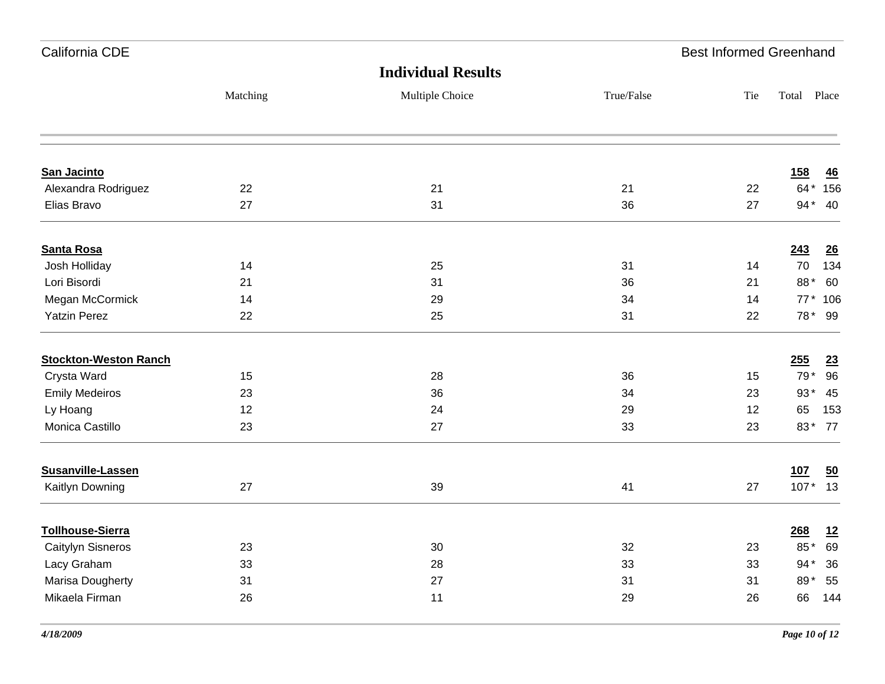| California CDE               |          |                           |            | <b>Best Informed Greenhand</b> |            |           |
|------------------------------|----------|---------------------------|------------|--------------------------------|------------|-----------|
|                              |          | <b>Individual Results</b> |            |                                |            |           |
|                              | Matching | Multiple Choice           | True/False | Tie                            | Total      | Place     |
|                              |          |                           |            |                                |            |           |
| San Jacinto                  |          |                           |            |                                | <u>158</u> | 46        |
| Alexandra Rodriguez          | 22       | 21                        | 21         | 22                             |            | 64* 156   |
| Elias Bravo                  | 27       | 31                        | 36         | 27                             |            | 94* 40    |
| <b>Santa Rosa</b>            |          |                           |            |                                | 243        | 26        |
| Josh Holliday                | 14       | 25                        | 31         | 14                             | 70         | 134       |
| Lori Bisordi                 | 21       | 31                        | 36         | 21                             | 88*        | 60        |
| Megan McCormick              | 14       | 29                        | 34         | 14                             |            | 77* 106   |
| <b>Yatzin Perez</b>          | 22       | 25                        | 31         | 22                             |            | 78* 99    |
| <b>Stockton-Weston Ranch</b> |          |                           |            |                                | 255        | <u>23</u> |
| Crysta Ward                  | 15       | 28                        | 36         | 15                             | 79*        | 96        |
| <b>Emily Medeiros</b>        | 23       | 36                        | 34         | 23                             | $93*$      | 45        |
| Ly Hoang                     | 12       | 24                        | 29         | 12                             | 65         | 153       |
| Monica Castillo              | 23       | 27                        | 33         | 23                             |            | 83* 77    |
| Susanville-Lassen            |          |                           |            |                                | 107        | 50        |
| Kaitlyn Downing              | 27       | 39                        | 41         | 27                             |            | $107*13$  |
| <b>Tollhouse-Sierra</b>      |          |                           |            |                                | 268        | 12        |
| Caitylyn Sisneros            | 23       | 30                        | 32         | 23                             | 85*        | 69        |
| Lacy Graham                  | 33       | 28                        | 33         | 33                             | 94*        | 36        |
| Marisa Dougherty             | 31       | 27                        | 31         | 31                             | 89*        | 55        |
| Mikaela Firman               | 26       | 11                        | 29         | 26                             | 66         | 144       |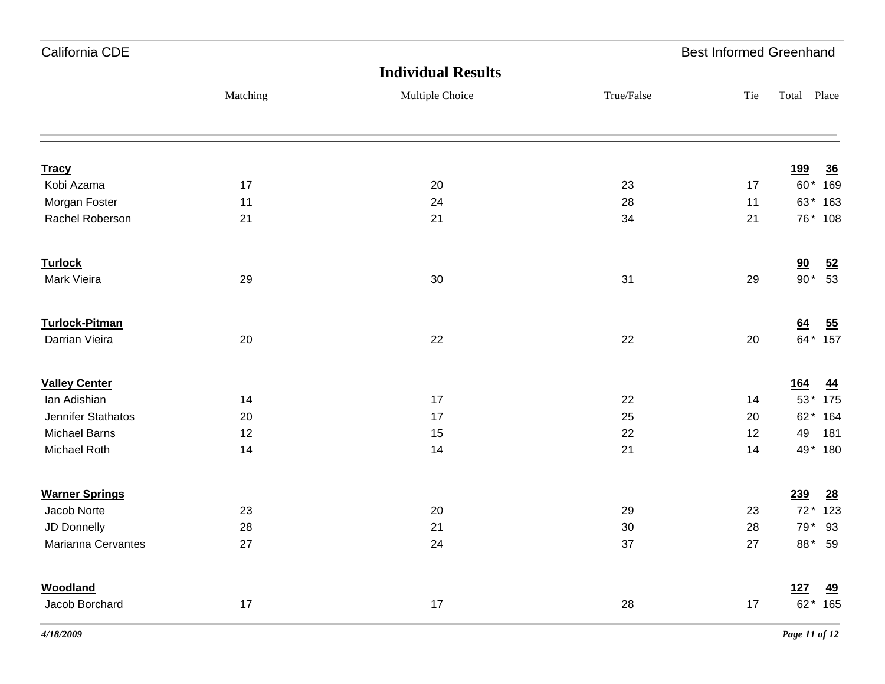| California CDE        |          |                           |            | <b>Best Informed Greenhand</b> |             |                 |
|-----------------------|----------|---------------------------|------------|--------------------------------|-------------|-----------------|
|                       |          | <b>Individual Results</b> |            |                                |             |                 |
|                       | Matching | Multiple Choice           | True/False | Tie                            | Total Place |                 |
| <b>Tracy</b>          |          |                           |            |                                | <u>199</u>  | $\overline{36}$ |
| Kobi Azama            | 17       | 20                        | 23         | 17                             | 60*         | 169             |
| Morgan Foster         | 11       | 24                        | 28         | 11                             | 63*         | 163             |
| Rachel Roberson       | 21       | 21                        | 34         | 21                             |             | 76* 108         |
| <b>Turlock</b>        |          |                           |            |                                | 90          | 52              |
| Mark Vieira           | 29       | $30\,$                    | 31         | 29                             | $90*$       | 53              |
| <b>Turlock-Pitman</b> |          |                           |            |                                | 64          | 55              |
| Darrian Vieira        | 20       | 22                        | 22         | 20                             |             | 64* 157         |
| <b>Valley Center</b>  |          |                           |            |                                | <u>164</u>  | <u>44</u>       |
| lan Adishian          | 14       | 17                        | 22         | 14                             | $53*$       | 175             |
| Jennifer Stathatos    | 20       | 17                        | 25         | 20                             | $62*$       | 164             |
| <b>Michael Barns</b>  | 12       | 15                        | 22         | 12                             | 49          | 181             |
| Michael Roth          | 14       | 14                        | 21         | 14                             |             | 49* 180         |
| <b>Warner Springs</b> |          |                           |            |                                | 239         | $\frac{28}{1}$  |
| Jacob Norte           | 23       | 20                        | 29         | 23                             | $72*$       | 123             |
| JD Donnelly           | 28       | 21                        | $30\,$     | 28                             | 79*         | 93              |
| Marianna Cervantes    | 27       | 24                        | 37         | 27                             |             | 88* 59          |
| <b>Woodland</b>       |          |                           |            |                                | 127         | <u>49</u>       |
| Jacob Borchard        | $17$     | 17                        | 28         | 17                             |             | 62* 165         |